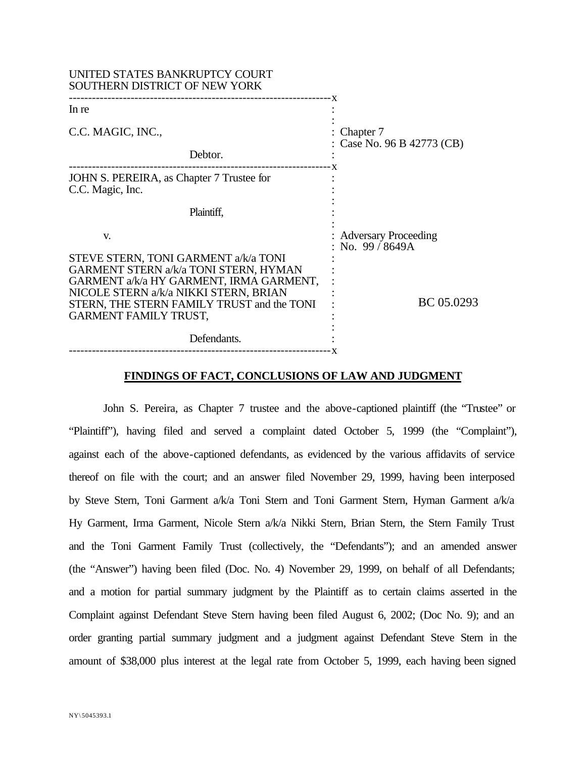| UNITED STATES BANKRUPTCY COURT<br>SOUTHERN DISTRICT OF NEW YORK                                                                                                                                                                                 |                                               |  |
|-------------------------------------------------------------------------------------------------------------------------------------------------------------------------------------------------------------------------------------------------|-----------------------------------------------|--|
| In re                                                                                                                                                                                                                                           |                                               |  |
| C.C. MAGIC, INC.,                                                                                                                                                                                                                               | Chapter 7<br>Case No. 96 B 42773 (CB)         |  |
| Debtor.                                                                                                                                                                                                                                         |                                               |  |
| JOHN S. PEREIRA, as Chapter 7 Trustee for<br>C.C. Magic, Inc.                                                                                                                                                                                   |                                               |  |
| Plaintiff,                                                                                                                                                                                                                                      |                                               |  |
| V.                                                                                                                                                                                                                                              | <b>Adversary Proceeding</b><br>No. 99 / 8649A |  |
| STEVE STERN, TONI GARMENT a/k/a TONI<br>GARMENT STERN a/k/a TONI STERN, HYMAN<br>GARMENT a/k/a HY GARMENT, IRMA GARMENT,<br>NICOLE STERN a/k/a NIKKI STERN, BRIAN<br>STERN, THE STERN FAMILY TRUST and the TONI<br><b>GARMENT FAMILY TRUST,</b> | BC 05.0293                                    |  |
| Defendants.                                                                                                                                                                                                                                     |                                               |  |
|                                                                                                                                                                                                                                                 |                                               |  |

#### **FINDINGS OF FACT, CONCLUSIONS OF LAW AND JUDGMENT**

John S. Pereira, as Chapter 7 trustee and the above-captioned plaintiff (the "Trustee" or "Plaintiff"), having filed and served a complaint dated October 5, 1999 (the "Complaint"), against each of the above-captioned defendants, as evidenced by the various affidavits of service thereof on file with the court; and an answer filed November 29, 1999, having been interposed by Steve Stern, Toni Garment a/k/a Toni Stern and Toni Garment Stern, Hyman Garment a/k/a Hy Garment, Irma Garment, Nicole Stern a/k/a Nikki Stern, Brian Stern, the Stern Family Trust and the Toni Garment Family Trust (collectively, the "Defendants"); and an amended answer (the "Answer") having been filed (Doc. No. 4) November 29, 1999, on behalf of all Defendants; and a motion for partial summary judgment by the Plaintiff as to certain claims asserted in the Complaint against Defendant Steve Stern having been filed August 6, 2002; (Doc No. 9); and an order granting partial summary judgment and a judgment against Defendant Steve Stern in the amount of \$38,000 plus interest at the legal rate from October 5, 1999, each having been signed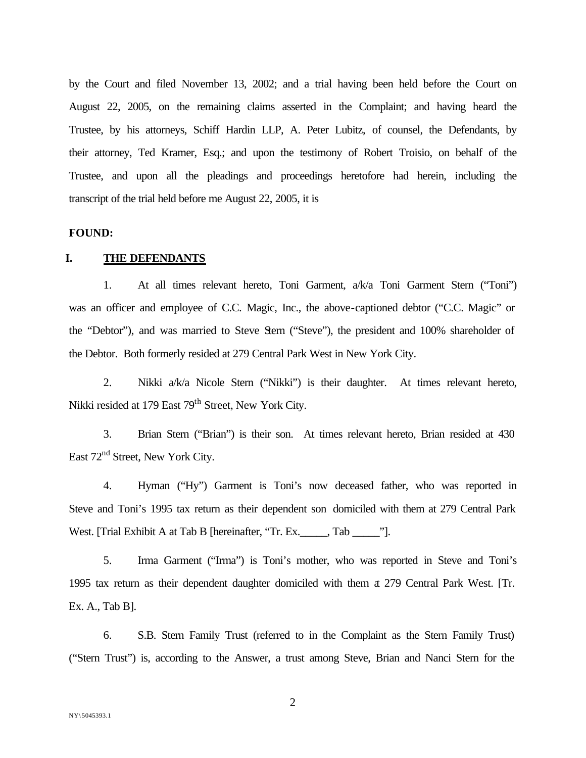by the Court and filed November 13, 2002; and a trial having been held before the Court on August 22, 2005, on the remaining claims asserted in the Complaint; and having heard the Trustee, by his attorneys, Schiff Hardin LLP, A. Peter Lubitz, of counsel, the Defendants, by their attorney, Ted Kramer, Esq.; and upon the testimony of Robert Troisio, on behalf of the Trustee, and upon all the pleadings and proceedings heretofore had herein, including the transcript of the trial held before me August 22, 2005, it is

#### **FOUND:**

## **I. THE DEFENDANTS**

1. At all times relevant hereto, Toni Garment, a/k/a Toni Garment Stern ("Toni") was an officer and employee of C.C. Magic, Inc., the above-captioned debtor ("C.C. Magic" or the "Debtor"), and was married to Steve Stern ("Steve"), the president and 100% shareholder of the Debtor. Both formerly resided at 279 Central Park West in New York City.

2. Nikki a/k/a Nicole Stern ("Nikki") is their daughter. At times relevant hereto, Nikki resided at 179 East 79<sup>th</sup> Street, New York City.

3. Brian Stern ("Brian") is their son. At times relevant hereto, Brian resided at 430 East 72<sup>nd</sup> Street, New York City.

4. Hyman ("Hy") Garment is Toni's now deceased father, who was reported in Steve and Toni's 1995 tax return as their dependent son domiciled with them at 279 Central Park West. [Trial Exhibit A at Tab B [hereinafter, "Tr. Ex.\_\_\_\_\_, Tab \_\_\_\_\_\_"].

5. Irma Garment ("Irma") is Toni's mother, who was reported in Steve and Toni's 1995 tax return as their dependent daughter domiciled with them at 279 Central Park West. [Tr. Ex. A., Tab B].

6. S.B. Stern Family Trust (referred to in the Complaint as the Stern Family Trust) ("Stern Trust") is, according to the Answer, a trust among Steve, Brian and Nanci Stern for the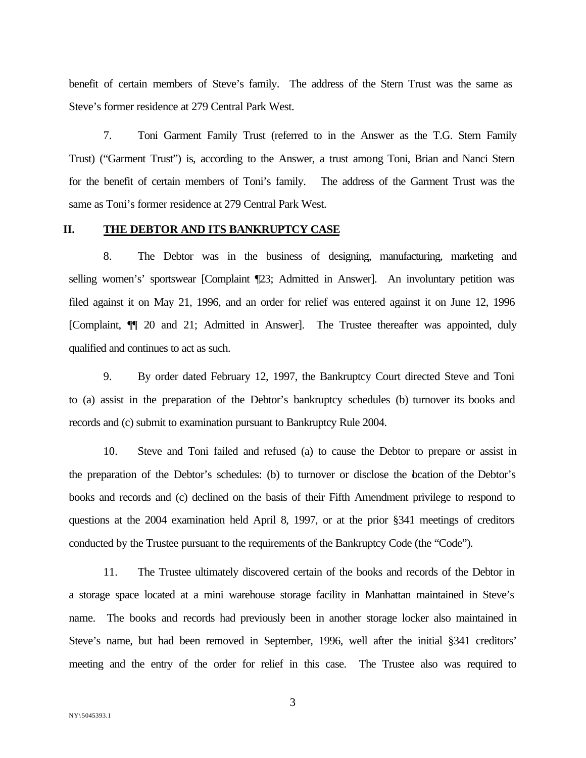benefit of certain members of Steve's family. The address of the Stern Trust was the same as Steve's former residence at 279 Central Park West.

7. Toni Garment Family Trust (referred to in the Answer as the T.G. Stern Family Trust) ("Garment Trust") is, according to the Answer, a trust among Toni, Brian and Nanci Stern for the benefit of certain members of Toni's family. The address of the Garment Trust was the same as Toni's former residence at 279 Central Park West.

## **II. THE DEBTOR AND ITS BANKRUPTCY CASE**

8. The Debtor was in the business of designing, manufacturing, marketing and selling women's' sportswear [Complaint [23; Admitted in Answer]. An involuntary petition was filed against it on May 21, 1996, and an order for relief was entered against it on June 12, 1996 [Complaint, ¶¶ 20 and 21; Admitted in Answer]. The Trustee thereafter was appointed, duly qualified and continues to act as such.

9. By order dated February 12, 1997, the Bankruptcy Court directed Steve and Toni to (a) assist in the preparation of the Debtor's bankruptcy schedules (b) turnover its books and records and (c) submit to examination pursuant to Bankruptcy Rule 2004.

10. Steve and Toni failed and refused (a) to cause the Debtor to prepare or assist in the preparation of the Debtor's schedules: (b) to turnover or disclose the location of the Debtor's books and records and (c) declined on the basis of their Fifth Amendment privilege to respond to questions at the 2004 examination held April 8, 1997, or at the prior §341 meetings of creditors conducted by the Trustee pursuant to the requirements of the Bankruptcy Code (the "Code").

11. The Trustee ultimately discovered certain of the books and records of the Debtor in a storage space located at a mini warehouse storage facility in Manhattan maintained in Steve's name. The books and records had previously been in another storage locker also maintained in Steve's name, but had been removed in September, 1996, well after the initial §341 creditors' meeting and the entry of the order for relief in this case. The Trustee also was required to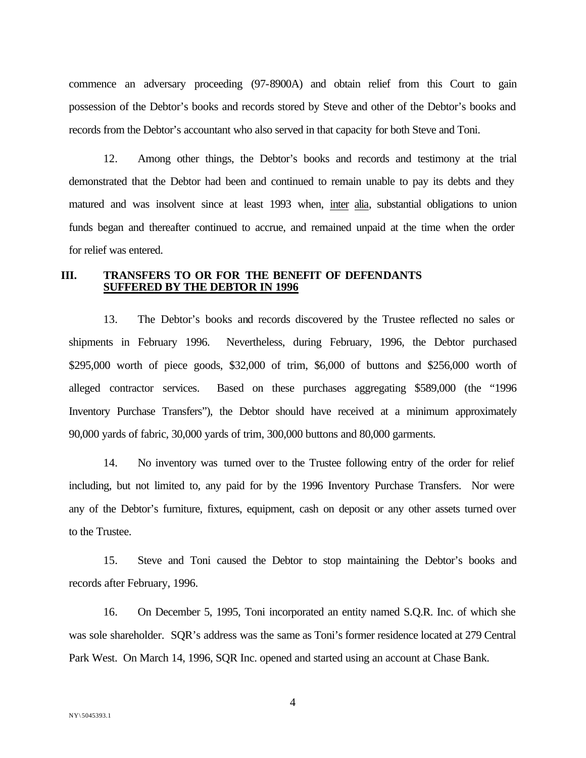commence an adversary proceeding (97-8900A) and obtain relief from this Court to gain possession of the Debtor's books and records stored by Steve and other of the Debtor's books and records from the Debtor's accountant who also served in that capacity for both Steve and Toni.

12. Among other things, the Debtor's books and records and testimony at the trial demonstrated that the Debtor had been and continued to remain unable to pay its debts and they matured and was insolvent since at least 1993 when, inter alia, substantial obligations to union funds began and thereafter continued to accrue, and remained unpaid at the time when the order for relief was entered.

### **III. TRANSFERS TO OR FOR THE BENEFIT OF DEFENDANTS SUFFERED BY THE DEBTOR IN 1996**

13. The Debtor's books and records discovered by the Trustee reflected no sales or shipments in February 1996. Nevertheless, during February, 1996, the Debtor purchased \$295,000 worth of piece goods, \$32,000 of trim, \$6,000 of buttons and \$256,000 worth of alleged contractor services. Based on these purchases aggregating \$589,000 (the "1996 Inventory Purchase Transfers"), the Debtor should have received at a minimum approximately 90,000 yards of fabric, 30,000 yards of trim, 300,000 buttons and 80,000 garments.

14. No inventory was turned over to the Trustee following entry of the order for relief including, but not limited to, any paid for by the 1996 Inventory Purchase Transfers. Nor were any of the Debtor's furniture, fixtures, equipment, cash on deposit or any other assets turned over to the Trustee.

15. Steve and Toni caused the Debtor to stop maintaining the Debtor's books and records after February, 1996.

16. On December 5, 1995, Toni incorporated an entity named S.Q.R. Inc. of which she was sole shareholder. SQR's address was the same as Toni's former residence located at 279 Central Park West. On March 14, 1996, SQR Inc. opened and started using an account at Chase Bank.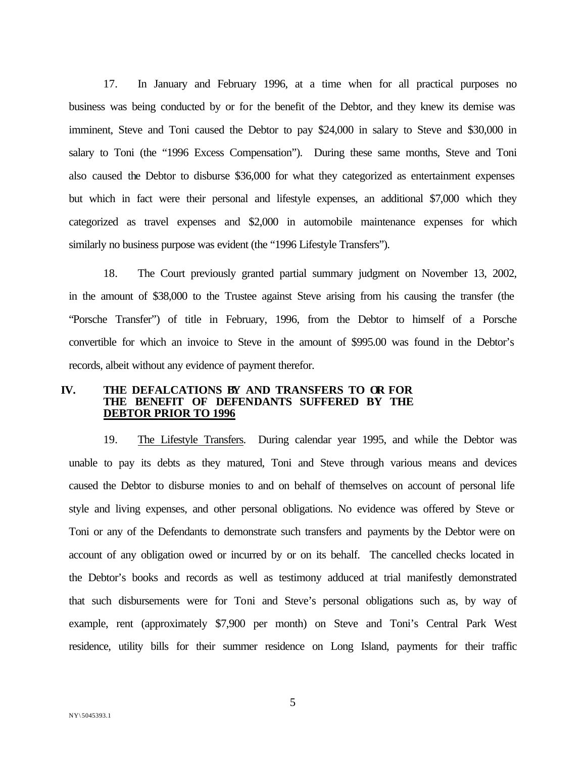17. In January and February 1996, at a time when for all practical purposes no business was being conducted by or for the benefit of the Debtor, and they knew its demise was imminent, Steve and Toni caused the Debtor to pay \$24,000 in salary to Steve and \$30,000 in salary to Toni (the "1996 Excess Compensation"). During these same months, Steve and Toni also caused the Debtor to disburse \$36,000 for what they categorized as entertainment expenses but which in fact were their personal and lifestyle expenses, an additional \$7,000 which they categorized as travel expenses and \$2,000 in automobile maintenance expenses for which similarly no business purpose was evident (the "1996 Lifestyle Transfers").

18. The Court previously granted partial summary judgment on November 13, 2002, in the amount of \$38,000 to the Trustee against Steve arising from his causing the transfer (the "Porsche Transfer") of title in February, 1996, from the Debtor to himself of a Porsche convertible for which an invoice to Steve in the amount of \$995.00 was found in the Debtor's records, albeit without any evidence of payment therefor.

# **IV. THE DEFALCATIONS BY AND TRANSFERS TO OR FOR THE BENEFIT OF DEFENDANTS SUFFERED BY THE DEBTOR PRIOR TO 1996**

19. The Lifestyle Transfers. During calendar year 1995, and while the Debtor was unable to pay its debts as they matured, Toni and Steve through various means and devices caused the Debtor to disburse monies to and on behalf of themselves on account of personal life style and living expenses, and other personal obligations. No evidence was offered by Steve or Toni or any of the Defendants to demonstrate such transfers and payments by the Debtor were on account of any obligation owed or incurred by or on its behalf. The cancelled checks located in the Debtor's books and records as well as testimony adduced at trial manifestly demonstrated that such disbursements were for Toni and Steve's personal obligations such as, by way of example, rent (approximately \$7,900 per month) on Steve and Toni's Central Park West residence, utility bills for their summer residence on Long Island, payments for their traffic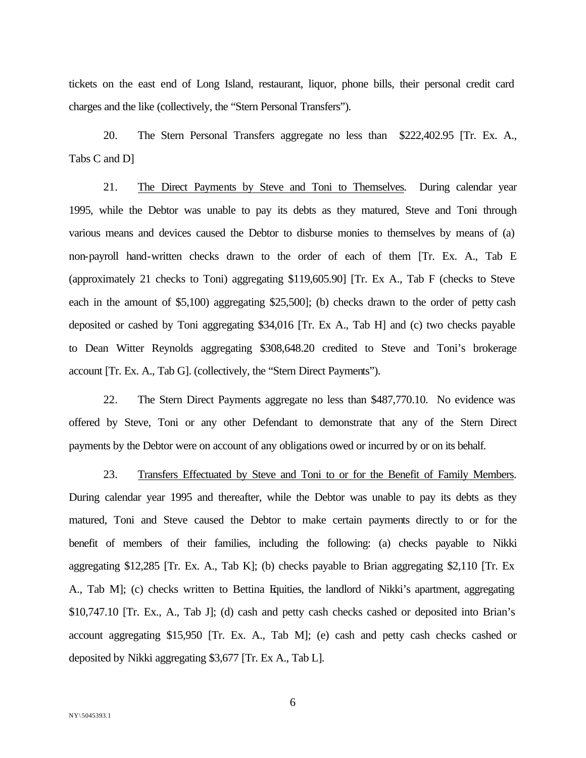tickets on the east end of Long Island, restaurant, liquor, phone bills, their personal credit card charges and the like (collectively, the "Stern Personal Transfers").

20. The Stern Personal Transfers aggregate no less than \$222,402.95 [Tr. Ex. A., Tabs C and D]

21. The Direct Payments by Steve and Toni to Themselves. During calendar year 1995, while the Debtor was unable to pay its debts as they matured, Steve and Toni through various means and devices caused the Debtor to disburse monies to themselves by means of (a) non-payroll hand-written checks drawn to the order of each of them [Tr. Ex. A., Tab E (approximately 21 checks to Toni) aggregating \$119,605.90] [Tr. Ex A., Tab F (checks to Steve each in the amount of \$5,100) aggregating \$25,500]; (b) checks drawn to the order of petty cash deposited or cashed by Toni aggregating \$34,016 [Tr. Ex A., Tab H] and (c) two checks payable to Dean Witter Reynolds aggregating \$308,648.20 credited to Steve and Toni's brokerage account [Tr. Ex. A., Tab G]. (collectively, the "Stern Direct Payments").

22. The Stern Direct Payments aggregate no less than \$487,770.10. No evidence was offered by Steve, Toni or any other Defendant to demonstrate that any of the Stern Direct payments by the Debtor were on account of any obligations owed or incurred by or on its behalf.

23. Transfers Effectuated by Steve and Toni to or for the Benefit of Family Members. During calendar year 1995 and thereafter, while the Debtor was unable to pay its debts as they matured, Toni and Steve caused the Debtor to make certain payments directly to or for the benefit of members of their families, including the following: (a) checks payable to Nikki aggregating \$12,285 [Tr. Ex. A., Tab K]; (b) checks payable to Brian aggregating \$2,110 [Tr. Ex A., Tab M]; (c) checks written to Bettina Equities, the landlord of Nikki's apartment, aggregating \$10,747.10 [Tr. Ex., A., Tab J]; (d) cash and petty cash checks cashed or deposited into Brian's account aggregating \$15,950 [Tr. Ex. A., Tab M]; (e) cash and petty cash checks cashed or deposited by Nikki aggregating \$3,677 [Tr. Ex A., Tab L].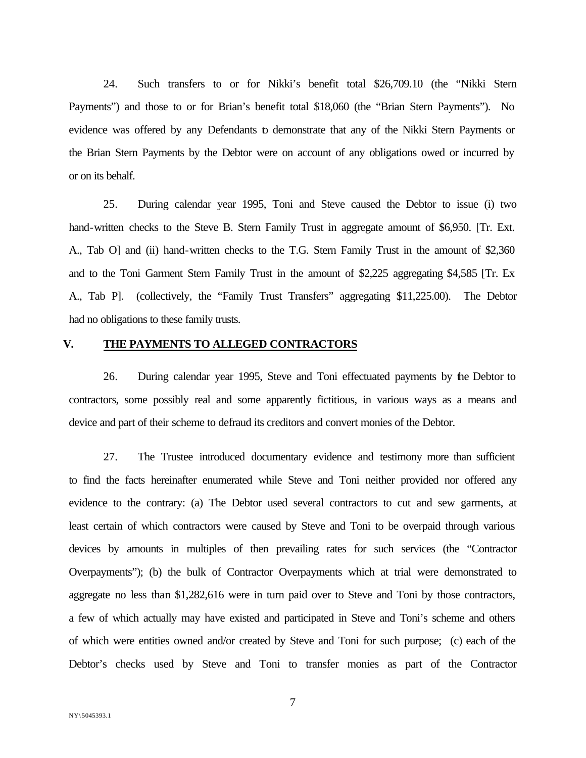24. Such transfers to or for Nikki's benefit total \$26,709.10 (the "Nikki Stern Payments") and those to or for Brian's benefit total \$18,060 (the "Brian Stern Payments"). No evidence was offered by any Defendants to demonstrate that any of the Nikki Stern Payments or the Brian Stern Payments by the Debtor were on account of any obligations owed or incurred by or on its behalf.

25. During calendar year 1995, Toni and Steve caused the Debtor to issue (i) two hand-written checks to the Steve B. Stern Family Trust in aggregate amount of \$6,950. [Tr. Ext. A., Tab O] and (ii) hand-written checks to the T.G. Stern Family Trust in the amount of \$2,360 and to the Toni Garment Stern Family Trust in the amount of \$2,225 aggregating \$4,585 [Tr. Ex A., Tab P]. (collectively, the "Family Trust Transfers" aggregating \$11,225.00). The Debtor had no obligations to these family trusts.

## **V. THE PAYMENTS TO ALLEGED CONTRACTORS**

26. During calendar year 1995, Steve and Toni effectuated payments by the Debtor to contractors, some possibly real and some apparently fictitious, in various ways as a means and device and part of their scheme to defraud its creditors and convert monies of the Debtor.

27. The Trustee introduced documentary evidence and testimony more than sufficient to find the facts hereinafter enumerated while Steve and Toni neither provided nor offered any evidence to the contrary: (a) The Debtor used several contractors to cut and sew garments, at least certain of which contractors were caused by Steve and Toni to be overpaid through various devices by amounts in multiples of then prevailing rates for such services (the "Contractor Overpayments"); (b) the bulk of Contractor Overpayments which at trial were demonstrated to aggregate no less than \$1,282,616 were in turn paid over to Steve and Toni by those contractors, a few of which actually may have existed and participated in Steve and Toni's scheme and others of which were entities owned and/or created by Steve and Toni for such purpose; (c) each of the Debtor's checks used by Steve and Toni to transfer monies as part of the Contractor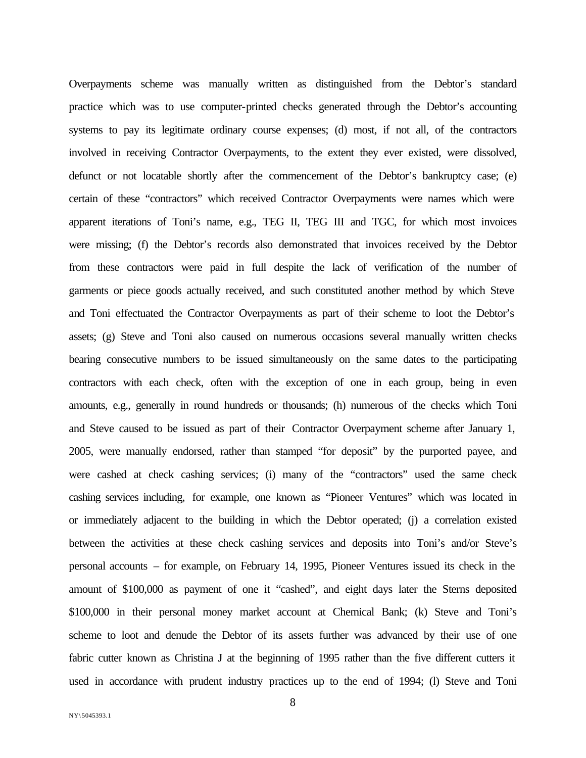Overpayments scheme was manually written as distinguished from the Debtor's standard practice which was to use computer-printed checks generated through the Debtor's accounting systems to pay its legitimate ordinary course expenses; (d) most, if not all, of the contractors involved in receiving Contractor Overpayments, to the extent they ever existed, were dissolved, defunct or not locatable shortly after the commencement of the Debtor's bankruptcy case; (e) certain of these "contractors" which received Contractor Overpayments were names which were apparent iterations of Toni's name, e.g., TEG II, TEG III and TGC, for which most invoices were missing; (f) the Debtor's records also demonstrated that invoices received by the Debtor from these contractors were paid in full despite the lack of verification of the number of garments or piece goods actually received, and such constituted another method by which Steve and Toni effectuated the Contractor Overpayments as part of their scheme to loot the Debtor's assets; (g) Steve and Toni also caused on numerous occasions several manually written checks bearing consecutive numbers to be issued simultaneously on the same dates to the participating contractors with each check, often with the exception of one in each group, being in even amounts, e.g., generally in round hundreds or thousands; (h) numerous of the checks which Toni and Steve caused to be issued as part of their Contractor Overpayment scheme after January 1, 2005, were manually endorsed, rather than stamped "for deposit" by the purported payee, and were cashed at check cashing services; (i) many of the "contractors" used the same check cashing services including, for example, one known as "Pioneer Ventures" which was located in or immediately adjacent to the building in which the Debtor operated; (j) a correlation existed between the activities at these check cashing services and deposits into Toni's and/or Steve's personal accounts – for example, on February 14, 1995, Pioneer Ventures issued its check in the amount of \$100,000 as payment of one it "cashed", and eight days later the Sterns deposited \$100,000 in their personal money market account at Chemical Bank; (k) Steve and Toni's scheme to loot and denude the Debtor of its assets further was advanced by their use of one fabric cutter known as Christina J at the beginning of 1995 rather than the five different cutters it used in accordance with prudent industry practices up to the end of 1994; (l) Steve and Toni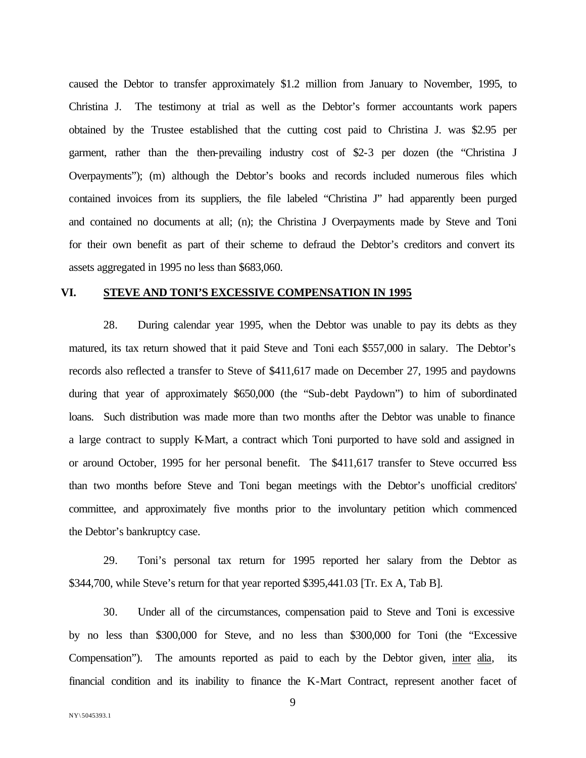caused the Debtor to transfer approximately \$1.2 million from January to November, 1995, to Christina J. The testimony at trial as well as the Debtor's former accountants work papers obtained by the Trustee established that the cutting cost paid to Christina J. was \$2.95 per garment, rather than the then-prevailing industry cost of \$2-3 per dozen (the "Christina J Overpayments"); (m) although the Debtor's books and records included numerous files which contained invoices from its suppliers, the file labeled "Christina J" had apparently been purged and contained no documents at all; (n); the Christina J Overpayments made by Steve and Toni for their own benefit as part of their scheme to defraud the Debtor's creditors and convert its assets aggregated in 1995 no less than \$683,060.

# **VI. STEVE AND TONI'S EXCESSIVE COMPENSATION IN 1995**

28. During calendar year 1995, when the Debtor was unable to pay its debts as they matured, its tax return showed that it paid Steve and Toni each \$557,000 in salary. The Debtor's records also reflected a transfer to Steve of \$411,617 made on December 27, 1995 and paydowns during that year of approximately \$650,000 (the "Sub-debt Paydown") to him of subordinated loans. Such distribution was made more than two months after the Debtor was unable to finance a large contract to supply K-Mart, a contract which Toni purported to have sold and assigned in or around October, 1995 for her personal benefit. The \$411,617 transfer to Steve occurred less than two months before Steve and Toni began meetings with the Debtor's unofficial creditors' committee, and approximately five months prior to the involuntary petition which commenced the Debtor's bankruptcy case.

29. Toni's personal tax return for 1995 reported her salary from the Debtor as \$344,700, while Steve's return for that year reported \$395,441.03 [Tr. Ex A, Tab B].

30. Under all of the circumstances, compensation paid to Steve and Toni is excessive by no less than \$300,000 for Steve, and no less than \$300,000 for Toni (the "Excessive Compensation"). The amounts reported as paid to each by the Debtor given, inter alia, its financial condition and its inability to finance the K-Mart Contract, represent another facet of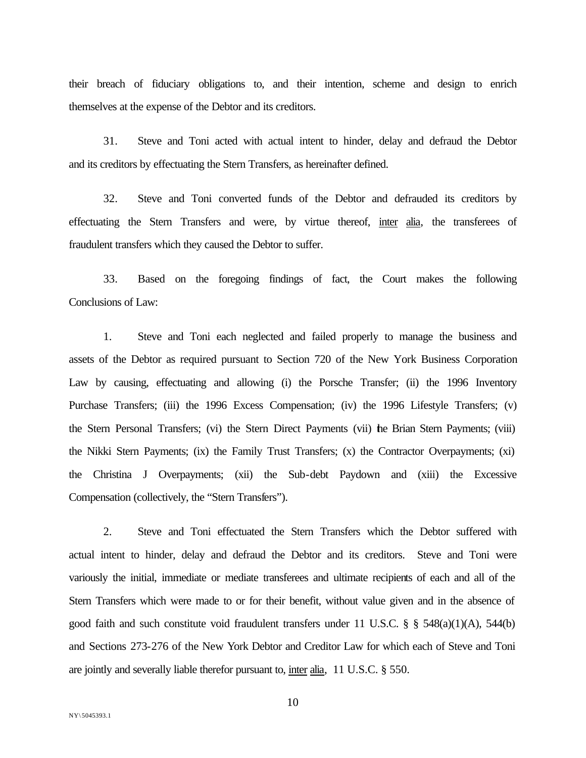their breach of fiduciary obligations to, and their intention, scheme and design to enrich themselves at the expense of the Debtor and its creditors.

31. Steve and Toni acted with actual intent to hinder, delay and defraud the Debtor and its creditors by effectuating the Stern Transfers, as hereinafter defined.

32. Steve and Toni converted funds of the Debtor and defrauded its creditors by effectuating the Stern Transfers and were, by virtue thereof, inter alia, the transferees of fraudulent transfers which they caused the Debtor to suffer.

33. Based on the foregoing findings of fact, the Court makes the following Conclusions of Law:

1. Steve and Toni each neglected and failed properly to manage the business and assets of the Debtor as required pursuant to Section 720 of the New York Business Corporation Law by causing, effectuating and allowing (i) the Porsche Transfer; (ii) the 1996 Inventory Purchase Transfers; (iii) the 1996 Excess Compensation; (iv) the 1996 Lifestyle Transfers; (v) the Stern Personal Transfers; (vi) the Stern Direct Payments (vii) the Brian Stern Payments; (viii) the Nikki Stern Payments; (ix) the Family Trust Transfers; (x) the Contractor Overpayments; (xi) the Christina J Overpayments; (xii) the Sub-debt Paydown and (xiii) the Excessive Compensation (collectively, the "Stern Transfers").

2. Steve and Toni effectuated the Stern Transfers which the Debtor suffered with actual intent to hinder, delay and defraud the Debtor and its creditors. Steve and Toni were variously the initial, immediate or mediate transferees and ultimate recipients of each and all of the Stern Transfers which were made to or for their benefit, without value given and in the absence of good faith and such constitute void fraudulent transfers under 11 U.S.C. § § 548(a)(1)(A), 544(b) and Sections 273-276 of the New York Debtor and Creditor Law for which each of Steve and Toni are jointly and severally liable therefor pursuant to, inter alia, 11 U.S.C. § 550.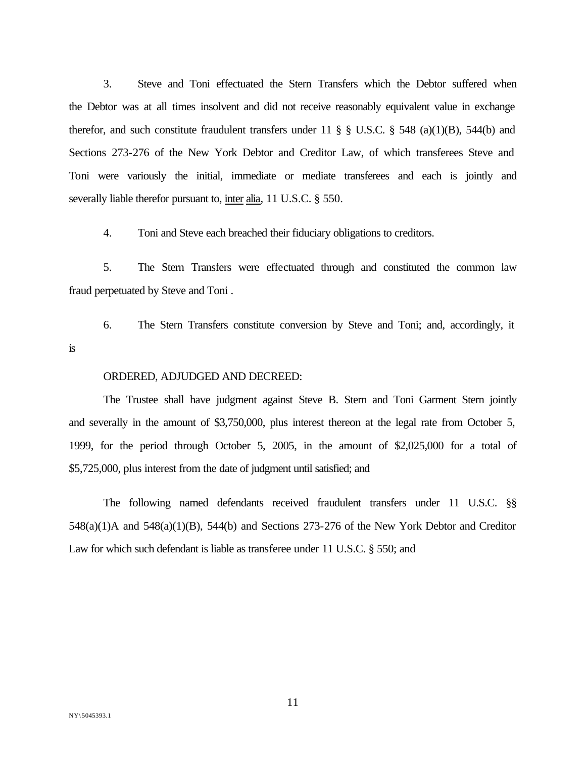3. Steve and Toni effectuated the Stern Transfers which the Debtor suffered when the Debtor was at all times insolvent and did not receive reasonably equivalent value in exchange therefor, and such constitute fraudulent transfers under 11  $\S$   $\S$  U.S.C.  $\S$  548 (a)(1)(B), 544(b) and Sections 273-276 of the New York Debtor and Creditor Law, of which transferees Steve and Toni were variously the initial, immediate or mediate transferees and each is jointly and severally liable therefor pursuant to, inter alia, 11 U.S.C. § 550.

4. Toni and Steve each breached their fiduciary obligations to creditors.

5. The Stern Transfers were effectuated through and constituted the common law fraud perpetuated by Steve and Toni .

6. The Stern Transfers constitute conversion by Steve and Toni; and, accordingly, it is

#### ORDERED, ADJUDGED AND DECREED:

The Trustee shall have judgment against Steve B. Stern and Toni Garment Stern jointly and severally in the amount of \$3,750,000, plus interest thereon at the legal rate from October 5, 1999, for the period through October 5, 2005, in the amount of \$2,025,000 for a total of \$5,725,000, plus interest from the date of judgment until satisfied; and

The following named defendants received fraudulent transfers under 11 U.S.C. §§ 548(a)(1)A and 548(a)(1)(B), 544(b) and Sections 273-276 of the New York Debtor and Creditor Law for which such defendant is liable as transferee under 11 U.S.C. § 550; and